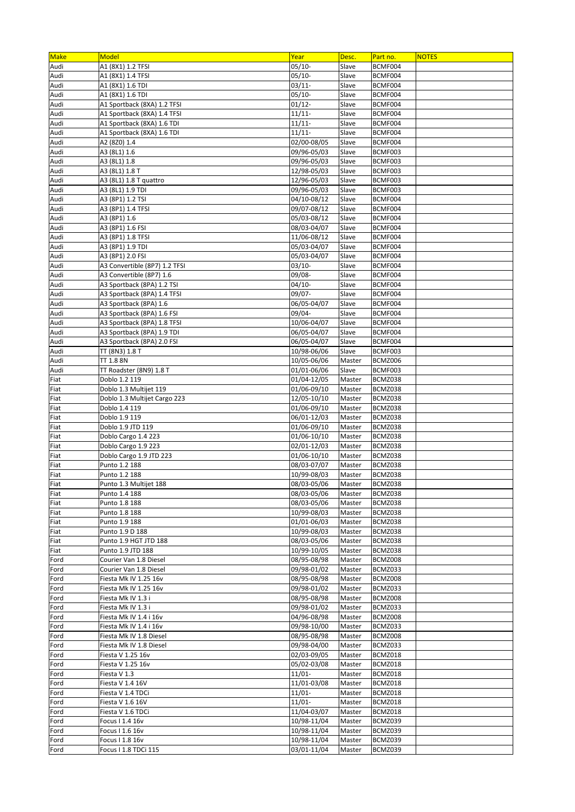| <b>Make</b>  | Model                                                      | Year                       | Desc.            | Part no.           | <b>NOTES</b> |
|--------------|------------------------------------------------------------|----------------------------|------------------|--------------------|--------------|
| Audi         | A1 (8X1) 1.2 TFSI                                          | $05/10-$                   | Slave            | BCMF004            |              |
| Audi         | A1 (8X1) 1.4 TFSI                                          | $05/10-$                   | Slave            | BCMF004            |              |
| Audi         | A1 (8X1) 1.6 TDI                                           | 03/11-                     | Slave            | BCMF004            |              |
| Audi         | A1 (8X1) 1.6 TDI                                           | $05/10-$                   | Slave            | BCMF004            |              |
| Audi<br>Audi | A1 Sportback (8XA) 1.2 TFSI<br>A1 Sportback (8XA) 1.4 TFSI | $01/12 -$<br>11/11-        | Slave<br>Slave   | BCMF004<br>BCMF004 |              |
| Audi         | A1 Sportback (8XA) 1.6 TDI                                 | $11/11 -$                  | Slave            | BCMF004            |              |
| Audi         | A1 Sportback (8XA) 1.6 TDI                                 | $11/11 -$                  | Slave            | BCMF004            |              |
| Audi         | A2 (8Z0) 1.4                                               | 02/00-08/05                | Slave            | BCMF004            |              |
| Audi         | A3 (8L1) 1.6                                               | 09/96-05/03                | Slave            | BCMF003            |              |
| Audi         | A3 (8L1) 1.8                                               | 09/96-05/03                | Slave            | BCMF003            |              |
| Audi         | A3 (8L1) 1.8 T                                             | 12/98-05/03                | Slave            | BCMF003            |              |
| Audi         | A3 (8L1) 1.8 T quattro                                     | 12/96-05/03                | Slave            | BCMF003            |              |
| Audi         | A3 (8L1) 1.9 TDI                                           | 09/96-05/03                | Slave            | BCMF003            |              |
| Audi         | A3 (8P1) 1.2 TSI                                           | $\sqrt{04}/10 - 08/12$     | Slave            | BCMF004            |              |
| Audi         | A3 (8P1) 1.4 TFSI                                          | 09/07-08/12<br>05/03-08/12 | Slave<br>Slave   | BCMF004<br>BCMF004 |              |
| Audi<br>Audi | A3 (8P1) 1.6<br>A3 (8P1) 1.6 FSI                           | 08/03-04/07                | Slave            | BCMF004            |              |
| Audi         | A3 (8P1) 1.8 TFSI                                          | 11/06-08/12                | Slave            | BCMF004            |              |
| Audi         | A3 (8P1) 1.9 TDI                                           | 05/03-04/07                | Slave            | BCMF004            |              |
| Audi         | A3 (8P1) 2.0 FSI                                           | 05/03-04/07                | Slave            | BCMF004            |              |
| Audi         | A3 Convertible (8P7) 1.2 TFSI                              | $03/10-$                   | Slave            | BCMF004            |              |
| Audi         | A3 Convertible (8P7) 1.6                                   | 09/08-                     | Slave            | BCMF004            |              |
| Audi         | A3 Sportback (8PA) 1.2 TSI                                 | $04/10-$                   | Slave            | BCMF004            |              |
| Audi         | A3 Sportback (8PA) 1.4 TFSI                                | 09/07-                     | Slave            | BCMF004            |              |
| Audi         | A3 Sportback (8PA) 1.6                                     | 06/05-04/07                | Slave            | BCMF004            |              |
| Audi         | A3 Sportback (8PA) 1.6 FSI                                 | 09/04-                     | Slave            | BCMF004            |              |
| Audi         | A3 Sportback (8PA) 1.8 TFSI                                | 10/06-04/07                | Slave            | BCMF004            |              |
| Audi<br>Audi | A3 Sportback (8PA) 1.9 TDI<br>A3 Sportback (8PA) 2.0 FSI   | 06/05-04/07<br>06/05-04/07 | Slave<br>Slave   | BCMF004<br>BCMF004 |              |
| Audi         | TT (8N3) 1.8 T                                             | 10/98-06/06                | Slave            | BCMF003            |              |
| Audi         | TT 1.8 8N                                                  | 10/05-06/06                | Master           | BCMZ006            |              |
| Audi         | TT Roadster (8N9) 1.8 T                                    | 01/01-06/06                | Slave            | BCMF003            |              |
| Fiat         | Doblo 1.2 119                                              | 01/04-12/05                | Master           | BCMZ038            |              |
| Fiat         | Doblo 1.3 Multijet 119                                     | 01/06-09/10                | Master           | BCMZ038            |              |
| Fiat         | Doblo 1.3 Multijet Cargo 223                               | 12/05-10/10                | Master           | BCMZ038            |              |
| Fiat         | Doblo 1.4 119                                              | 01/06-09/10                | Master           | BCMZ038            |              |
| Fiat         | Doblo 1.9 119                                              | 06/01-12/03                | Master           | BCMZ038            |              |
| Fiat         | Doblo 1.9 JTD 119                                          | 01/06-09/10                | Master           | BCMZ038            |              |
| Fiat         | Doblo Cargo 1.4 223                                        | 01/06-10/10                | Master           | BCMZ038            |              |
| Fiat<br>Fiat | Doblo Cargo 1.9 223<br>Doblo Cargo 1.9 JTD 223             | 02/01-12/03<br>01/06-10/10 | Master<br>Master | BCMZ038<br>BCMZ038 |              |
| Fiat         | Punto 1.2 188                                              | 08/03-07/07                | Master           | BCMZ038            |              |
| Fiat         | Punto 1.2 188                                              | 10/99-08/03                | Master           | BCMZ038            |              |
| Fiat         | Punto 1.3 Multijet 188                                     | 08/03-05/06                | Master           | BCMZ038            |              |
| Fiat         | Punto 1.4 188                                              | 08/03-05/06                | Master           | BCMZ038            |              |
| Fiat         | Punto 1.8 188                                              | 08/03-05/06                | Master           | BCMZ038            |              |
| Fiat         | Punto 1.8 188                                              | 10/99-08/03                | Master           | BCMZ038            |              |
| Fiat         | Punto 1.9 188                                              | 01/01-06/03                | Master           | BCMZ038            |              |
| Fiat         | Punto 1.9 D 188                                            | 10/99-08/03                | Master           | BCMZ038            |              |
| Fiat         | Punto 1.9 HGT JTD 188                                      | 08/03-05/06                | Master           | BCMZ038            |              |
| Fiat         | Punto 1.9 JTD 188                                          | 10/99-10/05                | Master           | BCMZ038            |              |
| Ford<br>Ford | Courier Van 1.8 Diesel<br>Courier Van 1.8 Diesel           | 08/95-08/98<br>09/98-01/02 | Master<br>Master | BCMZ008<br>BCMZ033 |              |
| Ford         | Fiesta Mk IV 1.25 16v                                      | 08/95-08/98                | Master           | BCMZ008            |              |
| Ford         | Fiesta Mk IV 1.25 16v                                      | 09/98-01/02                | Master           | BCMZ033            |              |
| Ford         | Fiesta Mk IV 1.3 i                                         | 08/95-08/98                | Master           | BCMZ008            |              |
| Ford         | Fiesta Mk IV 1.3 i                                         | 09/98-01/02                | Master           | BCMZ033            |              |
| Ford         | Fiesta Mk IV 1.4 i 16v                                     | 04/96-08/98                | Master           | BCMZ008            |              |
| Ford         | Fiesta Mk IV 1.4 i 16v                                     | 09/98-10/00                | Master           | BCMZ033            |              |
| Ford         | Fiesta Mk IV 1.8 Diesel                                    | 08/95-08/98                | Master           | BCMZ008            |              |
| Ford         | Fiesta Mk IV 1.8 Diesel                                    | 09/98-04/00                | Master           | BCMZ033            |              |
| Ford         | Fiesta V 1.25 16v                                          | 02/03-09/05                | Master           | BCMZ018            |              |
| Ford         | Fiesta V 1.25 16v                                          | 05/02-03/08                | Master           | BCMZ018            |              |
| Ford         | Fiesta V 1.3                                               | $11/01 -$                  | Master           | BCMZ018            |              |
| Ford         | Fiesta V 1.4 16V                                           | 11/01-03/08<br>$11/01 -$   | Master           | BCMZ018            |              |
| Ford<br>Ford | Fiesta V 1.4 TDCi<br>Fiesta V 1.6 16V                      | $11/01 -$                  | Master<br>Master | BCMZ018<br>BCMZ018 |              |
| Ford         | Fiesta V 1.6 TDCi                                          | 11/04-03/07                | Master           | BCMZ018            |              |
| Ford         | Focus I 1.4 16v                                            | 10/98-11/04                | Master           | BCMZ039            |              |
| Ford         | Focus I 1.6 16v                                            | 10/98-11/04                | Master           | BCMZ039            |              |
| Ford         | Focus I 1.8 16v                                            | 10/98-11/04                | Master           | BCMZ039            |              |
| Ford         | Focus I 1.8 TDCi 115                                       | 03/01-11/04                | Master           | BCMZ039            |              |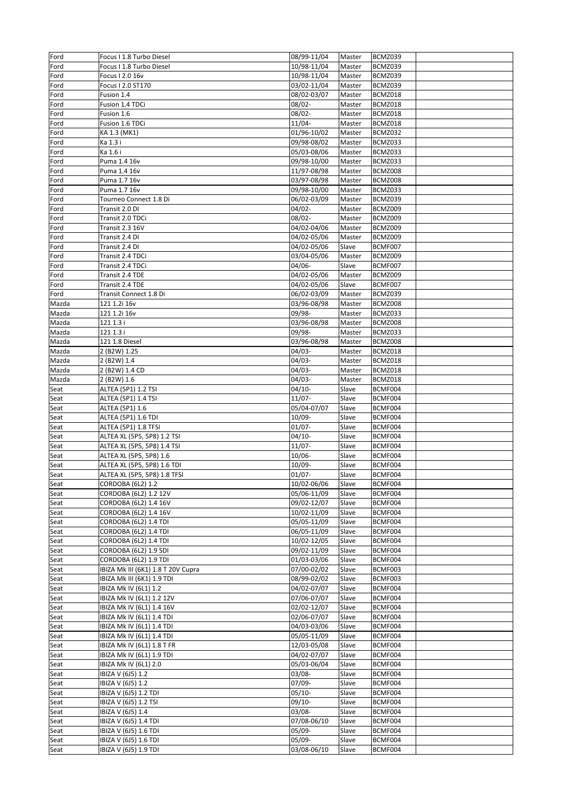| Ford         | Focus I 1.8 Turbo Diesel                       | 08/99-11/04                | Master           | BCMZ039            |  |
|--------------|------------------------------------------------|----------------------------|------------------|--------------------|--|
| Ford         | Focus I 1.8 Turbo Diesel                       | 10/98-11/04                | Master           | BCMZ039            |  |
| Ford         | Focus I 2.0 16v                                | 10/98-11/04                | Master           | BCMZ039            |  |
| Ford         | Focus I 2.0 ST170                              | 03/02-11/04                | Master           | BCMZ039            |  |
| Ford         | Fusion 1.4                                     | 08/02-03/07                | Master           | BCMZ018            |  |
| Ford         | Fusion 1.4 TDCi<br>Fusion 1.6                  | $08/02 -$<br>$08/02 -$     | Master<br>Master | BCMZ018<br>BCMZ018 |  |
| Ford<br>Ford | Fusion 1.6 TDCi                                | $11/04 -$                  | Master           | BCMZ018            |  |
| Ford         | KA 1.3 (MK1)                                   | 01/96-10/02                | Master           | BCMZ032            |  |
| Ford         | Ka 1.3 i                                       | 09/98-08/02                | Master           | BCMZ033            |  |
| Ford         | Ka 1.6 i                                       | 05/03-08/06                | Master           | BCMZ033            |  |
| Ford         | Puma 1.4 16v                                   | 09/98-10/00                | Master           | BCMZ033            |  |
| Ford         | Puma 1.4 16v                                   | 11/97-08/98                | Master           | BCMZ008            |  |
| Ford         | Puma 1.7 16v                                   | 03/97-08/98                | Master           | BCMZ008            |  |
| Ford         | Puma 1.7 16v                                   | 09/98-10/00                | Master           | BCMZ033            |  |
| Ford         | Tourneo Connect 1.8 Di                         | 06/02-03/09                | Master           | BCMZ039            |  |
| Ford         | Transit 2.0 DI                                 | $04/02 -$                  | Master           | BCMZ009            |  |
| Ford         | Transit 2.0 TDCi                               | $08/02 -$                  | Master           | BCMZ009            |  |
| Ford         | Transit 2.3 16V                                | 04/02-04/06                | Master           | BCMZ009            |  |
| Ford         | Transit 2.4 DI                                 | 04/02-05/06                | Master           | BCMZ009            |  |
| Ford         | Transit 2.4 DI                                 | 04/02-05/06                | Slave            | BCMF007            |  |
| Ford         | Transit 2.4 TDCi<br>Transit 2.4 TDCi           | 03/04-05/06                | Master           | BCMZ009            |  |
| Ford<br>Ford | Transit 2.4 TDE                                | 04/06-<br>04/02-05/06      | Slave<br>Master  | BCMF007<br>BCMZ009 |  |
| Ford         | Transit 2.4 TDE                                | 04/02-05/06                | Slave            | BCMF007            |  |
| Ford         | Transit Connect 1.8 Di                         | 06/02-03/09                | Master           | BCMZ039            |  |
| Mazda        | 121 1.2i 16v                                   | 03/96-08/98                | Master           | BCMZ008            |  |
| Mazda        | 121 1.2i 16v                                   | 09/98-                     | Master           | BCMZ033            |  |
| Mazda        | 121 1.3 i                                      | 03/96-08/98                | Master           | BCMZ008            |  |
| Mazda        | 121 1.3 i                                      | 09/98-                     | Master           | BCMZ033            |  |
| Mazda        | 121 1.8 Diesel                                 | 03/96-08/98                | Master           | BCMZ008            |  |
| Mazda        | 2 (B2W) 1.25                                   | $04/03 -$                  | Master           | BCMZ018            |  |
| Mazda        | 2 (B2W) 1.4                                    | $04/03 -$                  | Master           | BCMZ018            |  |
| Mazda        | 2 (B2W) 1.4 CD                                 | 04/03-                     | Master           | BCMZ018            |  |
| Mazda        | 2 (B2W) 1.6                                    | $04/03 -$                  | Master           | BCMZ018            |  |
| Seat         | ALTEA (5P1) 1.2 TSI                            | $04/10-$                   | Slave            | BCMF004            |  |
|              |                                                |                            |                  |                    |  |
| Seat         | ALTEA (5P1) 1.4 TSI                            | $11/07 -$                  | Slave            | BCMF004            |  |
| Seat         | ALTEA (5P1) 1.6                                | 05/04-07/07                | Slave            | BCMF004            |  |
| Seat         | ALTEA (5P1) 1.6 TDI                            | $10/09 -$                  | Slave            | BCMF004            |  |
| Seat         | ALTEA (5P1) 1.8 TFSI                           | $01/07 -$                  | Slave            | BCMF004            |  |
| Seat         | ALTEA XL (5P5, 5P8) 1.2 TSI                    | 04/10-                     | Slave            | BCMF004            |  |
| Seat         | ALTEA XL (5P5, 5P8) 1.4 TSI                    | 11/07-                     | Slave            | BCMF004            |  |
| Seat         | ALTEA XL (5P5, 5P8) 1.6                        | $10/06 -$                  | Slave            | BCMF004            |  |
| Seat         | ALTEA XL (5P5, 5P8) 1.6 TDI                    | $10/09 -$                  | Slave            | BCMF004            |  |
| Seat         | ALTEA XL (5P5, 5P8) 1.8 TFSI                   | $01/07 -$                  | Slave            | BCMF004            |  |
| Seat         | CORDOBA (6L2) 1.2                              | 10/02-06/06<br>05/06-11/09 | Slave            | BCMF004<br>BCMF004 |  |
| Seat<br>Seat | CORDOBA (6L2) 1.2 12V<br>CORDOBA (6L2) 1.4 16V | 09/02-12/07                | Slave<br>Slave   | BCMF004            |  |
| Seat         | CORDOBA (6L2) 1.4 16V                          | 10/02-11/09                | Slave            | BCMF004            |  |
| Seat         | CORDOBA (6L2) 1.4 TDI                          | 05/05-11/09                | Slave            | BCMF004            |  |
| Seat         | CORDOBA (6L2) 1.4 TDI                          | 06/05-11/09                | Slave            | BCMF004            |  |
| Seat         | CORDOBA (6L2) 1.4 TDI                          | 10/02-12/05                | Slave            | BCMF004            |  |
| Seat         | CORDOBA (6L2) 1.9 SDI                          | 09/02-11/09                | Slave            | BCMF004            |  |
| Seat         | CORDOBA (6L2) 1.9 TDI                          | 01/03-03/06                | Slave            | BCMF004            |  |
| Seat         | IBIZA Mk III (6K1) 1.8 T 20V Cupra             | 07/00-02/02                | Slave            | BCMF003            |  |
| Seat         | IBIZA Mk III (6K1) 1.9 TDI                     | 08/99-02/02                | Slave            | BCMF003            |  |
| Seat         | IBIZA Mk IV (6L1) 1.2                          | 04/02-07/07                | Slave            | BCMF004            |  |
| Seat         | IBIZA Mk IV (6L1) 1.2 12V                      | 07/06-07/07                | Slave            | BCMF004            |  |
| Seat         | IBIZA Mk IV (6L1) 1.4 16V                      | 02/02-12/07                | Slave            | BCMF004            |  |
| Seat         | IBIZA Mk IV (6L1) 1.4 TDI                      | 02/06-07/07                | Slave            | BCMF004            |  |
| Seat         | IBIZA Mk IV (6L1) 1.4 TDI                      | 04/03-03/06                | Slave            | BCMF004            |  |
| Seat         | IBIZA Mk IV (6L1) 1.4 TDI                      | 05/05-11/09                | Slave            | BCMF004            |  |
| Seat         | IBIZA Mk IV (6L1) 1.8 T FR                     | 12/03-05/08                | Slave            | BCMF004            |  |
| Seat<br>Seat | IBIZA Mk IV (6L1) 1.9 TDI                      | 04/02-07/07<br>05/03-06/04 | Slave<br>Slave   | BCMF004<br>BCMF004 |  |
| Seat         | IBIZA Mk IV (6L1) 2.0<br>IBIZA V (6J5) 1.2     | $03/08 -$                  | Slave            | BCMF004            |  |
| Seat         | IBIZA V (6J5) 1.2                              | 07/09-                     | Slave            | BCMF004            |  |
| Seat         | IBIZA V (6J5) 1.2 TDI                          | $05/10-$                   | Slave            | BCMF004            |  |
| Seat         | IBIZA V (6J5) 1.2 TSI                          | $09/10-$                   | Slave            | BCMF004            |  |
| Seat         | IBIZA V (6J5) 1.4                              | $03/08 -$                  | Slave            | BCMF004            |  |
| Seat         | IBIZA V (6J5) 1.4 TDI                          | 07/08-06/10                | Slave            | BCMF004            |  |
| Seat         | IBIZA V (6J5) 1.6 TDI                          | $05/09 -$                  | Slave            | BCMF004            |  |
| Seat<br>Seat | IBIZA V (6J5) 1.6 TDI<br>IBIZA V (6J5) 1.9 TDI | 05/09-<br>03/08-06/10      | Slave<br>Slave   | BCMF004<br>BCMF004 |  |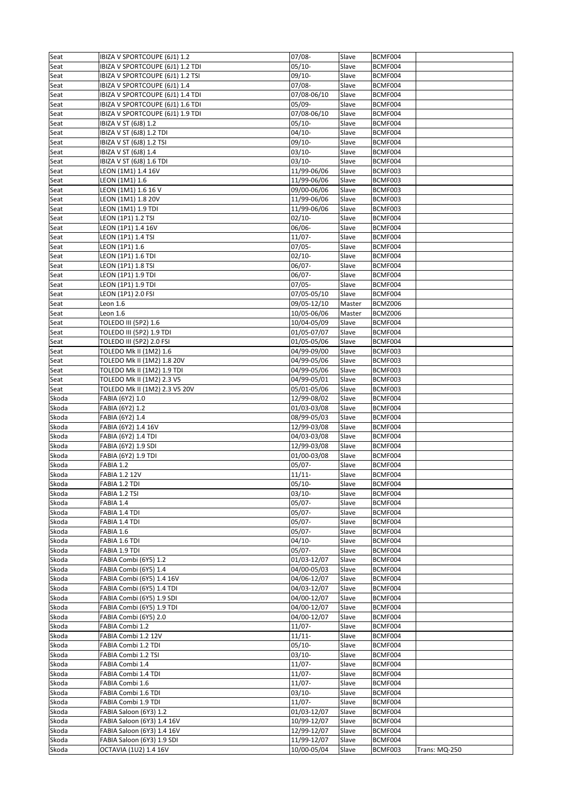| Seat           | IBIZA V SPORTCOUPE (6J1) 1.2                             | $07/08 -$   | Slave          | BCMF004 |               |
|----------------|----------------------------------------------------------|-------------|----------------|---------|---------------|
| Seat           | IBIZA V SPORTCOUPE (6J1) 1.2 TDI                         | $05/10-$    | Slave          | BCMF004 |               |
| Seat           | IBIZA V SPORTCOUPE (6J1) 1.2 TSI                         | 09/10-      | Slave          | BCMF004 |               |
| Seat           | IBIZA V SPORTCOUPE (6J1) 1.4                             | $07/08 -$   | Slave          | BCMF004 |               |
| Seat           | IBIZA V SPORTCOUPE (6J1) 1.4 TDI                         | 07/08-06/10 | Slave          | BCMF004 |               |
| Seat           | IBIZA V SPORTCOUPE (6J1) 1.6 TDI                         | 05/09-      | Slave          | BCMF004 |               |
| Seat           | IBIZA V SPORTCOUPE (6J1) 1.9 TDI                         | 07/08-06/10 | Slave          | BCMF004 |               |
| Seat           | IBIZA V ST (6J8) 1.2                                     | $05/10-$    | Slave          | BCMF004 |               |
| Seat           | IBIZA V ST (6J8) 1.2 TDI                                 | $04/10-$    | Slave          | BCMF004 |               |
| Seat           | IBIZA V ST (6J8) 1.2 TSI                                 | $09/10-$    | Slave          | BCMF004 |               |
| Seat           | IBIZA V ST (6J8) 1.4                                     | $03/10-$    | Slave          | BCMF004 |               |
| Seat           | IBIZA V ST (6J8) 1.6 TDI                                 | $03/10-$    | Slave          | BCMF004 |               |
| Seat           | LEON (1M1) 1.4 16V                                       | 11/99-06/06 | Slave          | BCMF003 |               |
| Seat           | LEON (1M1) 1.6                                           | 11/99-06/06 | Slave          | BCMF003 |               |
| Seat           | LEON (1M1) 1.6 16 V                                      | 09/00-06/06 | Slave          | BCMF003 |               |
| Seat           | LEON (1M1) 1.8 20V                                       | 11/99-06/06 | Slave          | BCMF003 |               |
| Seat           | LEON (1M1) 1.9 TDI                                       | 11/99-06/06 | Slave          | BCMF003 |               |
| Seat           | LEON (1P1) 1.2 TSI                                       | $02/10-$    | Slave          | BCMF004 |               |
| Seat           | LEON (1P1) 1.4 16V                                       | 06/06-      | Slave          | BCMF004 |               |
| Seat           | LEON (1P1) 1.4 TSI                                       | $11/07 -$   | Slave          | BCMF004 |               |
| Seat           | LEON (1P1) 1.6                                           | $07/05 -$   | Slave          | BCMF004 |               |
|                |                                                          |             |                |         |               |
| Seat           | LEON (1P1) 1.6 TDI                                       | $02/10-$    | Slave          | BCMF004 |               |
| Seat           | LEON (1P1) 1.8 TSI                                       | 06/07-      | Slave          | BCMF004 |               |
| Seat           | LEON (1P1) 1.9 TDI                                       | $06/07 -$   | Slave          | BCMF004 |               |
| Seat           | LEON (1P1) 1.9 TDI                                       | $07/05 -$   | Slave          | BCMF004 |               |
| Seat           | LEON (1P1) 2.0 FSI                                       | 07/05-05/10 | Slave          | BCMF004 |               |
| Seat           | Leon 1.6                                                 | 09/05-12/10 | Master         | BCMZ006 |               |
| Seat           | Leon 1.6                                                 | 10/05-06/06 | Master         | BCMZ006 |               |
| Seat           | TOLEDO III (5P2) 1.6                                     | 10/04-05/09 | Slave          | BCMF004 |               |
| Seat           | TOLEDO III (5P2) 1.9 TDI                                 | 01/05-07/07 | Slave          | BCMF004 |               |
| Seat           | TOLEDO III (5P2) 2.0 FSI                                 | 01/05-05/06 | Slave          | BCMF004 |               |
| Seat           | TOLEDO Mk II (1M2) 1.6                                   | 04/99-09/00 | Slave          | BCMF003 |               |
| Seat           | TOLEDO Mk II (1M2) 1.8 20V                               | 04/99-05/06 | Slave          | BCMF003 |               |
| Seat           | TOLEDO Mk II (1M2) 1.9 TDI                               | 04/99-05/06 | Slave          | BCMF003 |               |
| Seat           | TOLEDO Mk II (1M2) 2.3 V5                                | 04/99-05/01 | Slave          | BCMF003 |               |
| Seat           | TOLEDO Mk II (1M2) 2.3 V5 20V                            | 05/01-05/06 | Slave          | BCMF003 |               |
| Skoda          | FABIA (6Y2) 1.0                                          | 12/99-08/02 | Slave          | BCMF004 |               |
| Skoda          | FABIA (6Y2) 1.2                                          | 01/03-03/08 | Slave          | BCMF004 |               |
| Skoda          | FABIA (6Y2) 1.4                                          | 08/99-05/03 | Slave          | BCMF004 |               |
| Skoda          | FABIA (6Y2) 1.4 16V                                      | 12/99-03/08 | Slave          | BCMF004 |               |
| Skoda          | FABIA (6Y2) 1.4 TDI                                      | 04/03-03/08 | Slave          | BCMF004 |               |
| Skoda          | FABIA (6Y2) 1.9 SDI                                      | 12/99-03/08 | Slave          | BCMF004 |               |
| Skoda          | FABIA (6Y2) 1.9 TDI                                      | 01/00-03/08 | Slave          | BCMF004 |               |
| Skoda          | FABIA 1.2                                                | 05/07-      | Slave          | BCMF004 |               |
| Skoda          | <b>FABIA 1.2 12V</b>                                     | $11/11 -$   | Slave          | BCMF004 |               |
| Skoda          | FABIA 1.2 TDI                                            | $05/10-$    | Slave          | BCMF004 |               |
| Skoda          | FABIA 1.2 TSI                                            | $03/10-$    | Slave          | BCMF004 |               |
| Skoda          | FABIA 1.4                                                | 05/07-      | Slave          | BCMF004 |               |
| Skoda          | FABIA 1.4 TDI                                            | $05/07 -$   | Slave          | BCMF004 |               |
| Skoda          | FABIA 1.4 TDI                                            | $05/07 -$   | Slave          | BCMF004 |               |
| Skoda          | FABIA 1.6                                                | $05/07 -$   | Slave          | BCMF004 |               |
| Skoda          | FABIA 1.6 TDI                                            | $04/10-$    | Slave          | BCMF004 |               |
| Skoda          | FABIA 1.9 TDI                                            | $05/07 -$   | Slave          | BCMF004 |               |
| Skoda          | FABIA Combi (6Y5) 1.2                                    | 01/03-12/07 | Slave          | BCMF004 |               |
| Skoda          | FABIA Combi (6Y5) 1.4                                    | 04/00-05/03 | Slave          | BCMF004 |               |
| Skoda          | FABIA Combi (6Y5) 1.4 16V                                | 04/06-12/07 | Slave          | BCMF004 |               |
| Skoda          | FABIA Combi (6Y5) 1.4 TDI                                | 04/03-12/07 | Slave          | BCMF004 |               |
| Skoda          | FABIA Combi (6Y5) 1.9 SDI                                | 04/00-12/07 | Slave          | BCMF004 |               |
| Skoda          | FABIA Combi (6Y5) 1.9 TDI                                | 04/00-12/07 | Slave          | BCMF004 |               |
| Skoda          | FABIA Combi (6Y5) 2.0                                    | 04/00-12/07 | Slave          | BCMF004 |               |
| Skoda          | FABIA Combi 1.2                                          | $11/07 -$   | Slave          | BCMF004 |               |
| Skoda          | FABIA Combi 1.2 12V                                      | $11/11 -$   | Slave          | BCMF004 |               |
| Skoda          | FABIA Combi 1.2 TDI                                      | $05/10-$    | Slave          | BCMF004 |               |
| Skoda          | FABIA Combi 1.2 TSI                                      | $03/10-$    | Slave          | BCMF004 |               |
| Skoda          | FABIA Combi 1.4                                          | $11/07 -$   | Slave          | BCMF004 |               |
| Skoda          | FABIA Combi 1.4 TDI                                      | $11/07 -$   | Slave          | BCMF004 |               |
| Skoda          | FABIA Combi 1.6                                          | $11/07 -$   | Slave          | BCMF004 |               |
| Skoda          | FABIA Combi 1.6 TDI                                      | $03/10-$    | Slave          | BCMF004 |               |
| Skoda          | FABIA Combi 1.9 TDI                                      | $11/07 -$   | Slave          | BCMF004 |               |
| Skoda          | FABIA Saloon (6Y3) 1.2                                   | 01/03-12/07 |                | BCMF004 |               |
|                |                                                          | 10/99-12/07 | Slave          | BCMF004 |               |
| Skoda<br>Skoda | FABIA Saloon (6Y3) 1.4 16V<br>FABIA Saloon (6Y3) 1.4 16V | 12/99-12/07 | Slave<br>Slave | BCMF004 |               |
| Skoda          |                                                          |             |                | BCMF004 |               |
|                | FABIA Saloon (6Y3) 1.9 SDI                               | 11/99-12/07 | Slave          |         |               |
| Skoda          | OCTAVIA (1U2) 1.4 16V                                    | 10/00-05/04 | Slave          | BCMF003 | Trans: MQ-250 |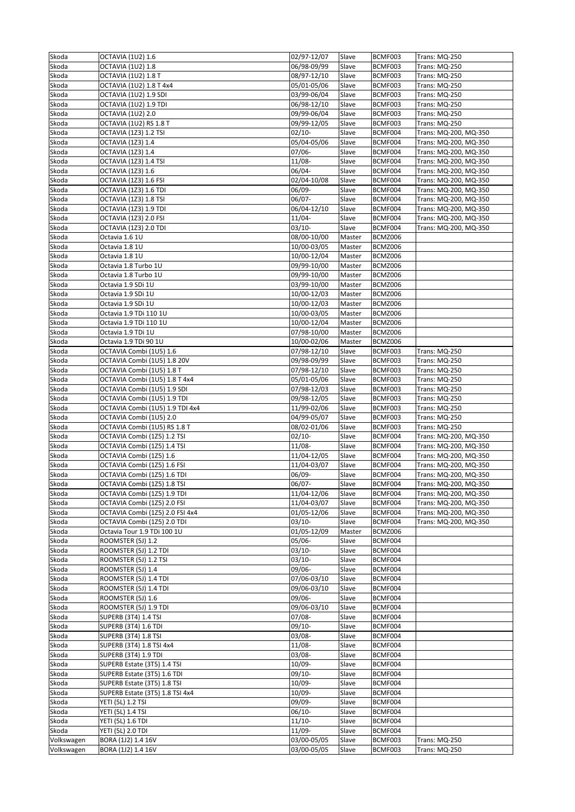| Skoda      | <b>OCTAVIA (1U2) 1.6</b>        | 02/97-12/07 | Slave  | BCMF003 | Trans: MQ-250         |
|------------|---------------------------------|-------------|--------|---------|-----------------------|
| Skoda      | OCTAVIA (1U2) 1.8               | 06/98-09/99 | Slave  | BCMF003 | Trans: MQ-250         |
| Skoda      | OCTAVIA (1U2) 1.8 T             | 08/97-12/10 | Slave  | BCMF003 | Trans: MQ-250         |
| Skoda      | OCTAVIA (1U2) 1.8 T 4x4         | 05/01-05/06 | Slave  | BCMF003 | Trans: MQ-250         |
| Skoda      | OCTAVIA (1U2) 1.9 SDI           | 03/99-06/04 | Slave  | BCMF003 | Trans: MQ-250         |
| Skoda      | OCTAVIA (1U2) 1.9 TDI           | 06/98-12/10 | Slave  | BCMF003 | Trans: MQ-250         |
| Skoda      | <b>OCTAVIA (1U2) 2.0</b>        | 09/99-06/04 | Slave  | BCMF003 | Trans: MQ-250         |
| Skoda      | OCTAVIA (1U2) RS 1.8 T          | 09/99-12/05 | Slave  | BCMF003 | Trans: MQ-250         |
| Skoda      | OCTAVIA (1Z3) 1.2 TSI           | $02/10-$    | Slave  | BCMF004 | Trans: MQ-200, MQ-350 |
| Skoda      | OCTAVIA (1Z3) 1.4               | 05/04-05/06 | Slave  | BCMF004 | Trans: MQ-200, MQ-350 |
| Skoda      | OCTAVIA (1Z3) 1.4               | $07/06 -$   | Slave  | BCMF004 | Trans: MQ-200, MQ-350 |
| Skoda      | OCTAVIA (1Z3) 1.4 TSI           | $11/08 -$   | Slave  | BCMF004 | Trans: MQ-200, MQ-350 |
| Skoda      | OCTAVIA (1Z3) 1.6               | 06/04-      | Slave  | BCMF004 | Trans: MQ-200, MQ-350 |
| Skoda      | OCTAVIA (1Z3) 1.6 FSI           | 02/04-10/08 | Slave  | BCMF004 | Trans: MQ-200, MQ-350 |
| Skoda      | OCTAVIA (1Z3) 1.6 TDI           | $06/09 -$   | Slave  | BCMF004 | Trans: MQ-200, MQ-350 |
| Skoda      | OCTAVIA (1Z3) 1.8 TSI           | 06/07-      | Slave  | BCMF004 | Trans: MQ-200, MQ-350 |
| Skoda      | OCTAVIA (1Z3) 1.9 TDI           | 06/04-12/10 | Slave  | BCMF004 | Trans: MQ-200, MQ-350 |
| Skoda      | OCTAVIA (1Z3) 2.0 FSI           | $11/04 -$   | Slave  | BCMF004 | Trans: MQ-200, MQ-350 |
| Skoda      | OCTAVIA (1Z3) 2.0 TDI           | $03/10-$    | Slave  | BCMF004 | Trans: MQ-200, MQ-350 |
| Skoda      | Octavia 1.6 1U                  | 08/00-10/00 | Master | BCMZ006 |                       |
| Skoda      | Octavia 1.8 1U                  | 10/00-03/05 | Master | BCMZ006 |                       |
| Skoda      | Octavia 1.8 1U                  | 10/00-12/04 | Master | BCMZ006 |                       |
| Skoda      | Octavia 1.8 Turbo 1U            | 09/99-10/00 | Master | BCMZ006 |                       |
| Skoda      | Octavia 1.8 Turbo 1U            | 09/99-10/00 | Master | BCMZ006 |                       |
| Skoda      | Octavia 1.9 SDi 1U              | 03/99-10/00 | Master | BCMZ006 |                       |
| Skoda      | Octavia 1.9 SDi 1U              | 10/00-12/03 | Master | BCMZ006 |                       |
| Skoda      | Octavia 1.9 SDi 1U              | 10/00-12/03 | Master | BCMZ006 |                       |
| Skoda      | Octavia 1.9 TDi 110 1U          | 10/00-03/05 | Master | BCMZ006 |                       |
| Skoda      | Octavia 1.9 TDi 110 1U          | 10/00-12/04 | Master | BCMZ006 |                       |
| Skoda      | Octavia 1.9 TDi 1U              | 07/98-10/00 | Master | BCMZ006 |                       |
| Skoda      | Octavia 1.9 TDi 90 1U           | 10/00-02/06 | Master | BCMZ006 |                       |
| Skoda      | OCTAVIA Combi (1U5) 1.6         | 07/98-12/10 | Slave  | BCMF003 | Trans: MQ-250         |
| Skoda      | OCTAVIA Combi (1U5) 1.8 20V     | 09/98-09/99 | Slave  | BCMF003 | Trans: MQ-250         |
| Skoda      | OCTAVIA Combi (1U5) 1.8 T       | 07/98-12/10 | Slave  | BCMF003 | Trans: MQ-250         |
| Skoda      | OCTAVIA Combi (1U5) 1.8 T 4x4   | 05/01-05/06 | Slave  | BCMF003 | Trans: MQ-250         |
| Skoda      | OCTAVIA Combi (1U5) 1.9 SDI     | 07/98-12/03 | Slave  | BCMF003 | Trans: MQ-250         |
| Skoda      | OCTAVIA Combi (1U5) 1.9 TDI     | 09/98-12/05 | Slave  | BCMF003 | Trans: MQ-250         |
| Skoda      | OCTAVIA Combi (1U5) 1.9 TDI 4x4 | 11/99-02/06 | Slave  | BCMF003 | Trans: MQ-250         |
| Skoda      | OCTAVIA Combi (1U5) 2.0         | 04/99-05/07 | Slave  | BCMF003 | Trans: MQ-250         |
| Skoda      | OCTAVIA Combi (1U5) RS 1.8 T    | 08/02-01/06 | Slave  | BCMF003 | Trans: MQ-250         |
| Skoda      | OCTAVIA Combi (1Z5) 1.2 TSI     | $02/10-$    | Slave  | BCMF004 | Trans: MQ-200, MQ-350 |
| Skoda      | OCTAVIA Combi (1Z5) 1.4 TSI     | $11/08 -$   | Slave  | BCMF004 | Trans: MQ-200, MQ-350 |
| Skoda      | OCTAVIA Combi (1Z5) 1.6         | 11/04-12/05 | Slave  | BCMF004 | Trans: MQ-200, MQ-350 |
| Skoda      | OCTAVIA Combi (1Z5) 1.6 FSI     | 11/04-03/07 | Slave  | BCMF004 | Trans: MQ-200, MQ-350 |
| Skoda      | OCTAVIA Combi (1Z5) 1.6 TDI     | $06/09 -$   | Slave  | BCMF004 | Trans: MQ-200, MQ-350 |
| Skoda      | OCTAVIA Combi (1Z5) 1.8 TSI     | 06/07-      | Slave  | BCMF004 | Trans: MQ-200, MQ-350 |
| Skoda      | OCTAVIA Combi (1Z5) 1.9 TDI     | 11/04-12/06 | Slave  | BCMF004 | Trans: MQ-200, MQ-350 |
| Skoda      | OCTAVIA Combi (1Z5) 2.0 FSI     | 11/04-03/07 | Slave  | BCMF004 | Trans: MQ-200, MQ-350 |
| Skoda      | OCTAVIA Combi (1Z5) 2.0 FSI 4x4 | 01/05-12/06 | Slave  | BCMF004 | Trans: MQ-200, MQ-350 |
| Skoda      | OCTAVIA Combi (1Z5) 2.0 TDI     | $03/10-$    | Slave  | BCMF004 | Trans: MQ-200, MQ-350 |
| Skoda      | Octavia Tour 1.9 TDi 100 1U     | 01/05-12/09 | Master | BCMZ006 |                       |
| Skoda      | ROOMSTER (5J) 1.2               | 05/06-      | Slave  | BCMF004 |                       |
| Skoda      | ROOMSTER (5J) 1.2 TDI           | $03/10-$    | Slave  | BCMF004 |                       |
| Skoda      | ROOMSTER (5J) 1.2 TSI           | $03/10-$    | Slave  | BCMF004 |                       |
| Skoda      | ROOMSTER (5J) 1.4               | 09/06-      | Slave  | BCMF004 |                       |
| Skoda      | ROOMSTER (5J) 1.4 TDI           | 07/06-03/10 | Slave  | BCMF004 |                       |
| Skoda      | ROOMSTER (5J) 1.4 TDI           | 09/06-03/10 | Slave  | BCMF004 |                       |
| Skoda      | ROOMSTER (5J) 1.6               | 09/06-      | Slave  | BCMF004 |                       |
| Skoda      | ROOMSTER (5J) 1.9 TDI           | 09/06-03/10 | Slave  | BCMF004 |                       |
| Skoda      | <b>SUPERB (3T4) 1.4 TSI</b>     | $07/08 -$   | Slave  | BCMF004 |                       |
| Skoda      | <b>SUPERB (3T4) 1.6 TDI</b>     | $09/10-$    | Slave  | BCMF004 |                       |
| Skoda      | <b>SUPERB (3T4) 1.8 TSI</b>     | $03/08 -$   | Slave  | BCMF004 |                       |
| Skoda      | SUPERB (3T4) 1.8 TSI 4x4        | 11/08-      | Slave  | BCMF004 |                       |
| Skoda      | <b>SUPERB (3T4) 1.9 TDI</b>     | 03/08-      | Slave  | BCMF004 |                       |
| Skoda      | SUPERB Estate (3T5) 1.4 TSI     | 10/09-      | Slave  | BCMF004 |                       |
| Skoda      | SUPERB Estate (3T5) 1.6 TDI     | $09/10-$    | Slave  | BCMF004 |                       |
| Skoda      | SUPERB Estate (3T5) 1.8 TSI     | 10/09-      | Slave  | BCMF004 |                       |
| Skoda      | SUPERB Estate (3T5) 1.8 TSI 4x4 | 10/09-      | Slave  | BCMF004 |                       |
| Skoda      | YETI (5L) 1.2 TSI               | 09/09-      | Slave  | BCMF004 |                       |
| Skoda      | YETI (5L) 1.4 TSI               | 06/10-      | Slave  | BCMF004 |                       |
| Skoda      | YETI (5L) 1.6 TDI               | $11/10-$    | Slave  | BCMF004 |                       |
| Skoda      | YETI (5L) 2.0 TDI               | $11/09 -$   | Slave  | BCMF004 |                       |
| Volkswagen | BORA (1J2) 1.4 16V              | 03/00-05/05 | Slave  | BCMF003 | Trans: MQ-250         |
| Volkswagen | BORA (1J2) 1.4 16V              | 03/00-05/05 | Slave  | BCMF003 | <b>Trans: MQ-250</b>  |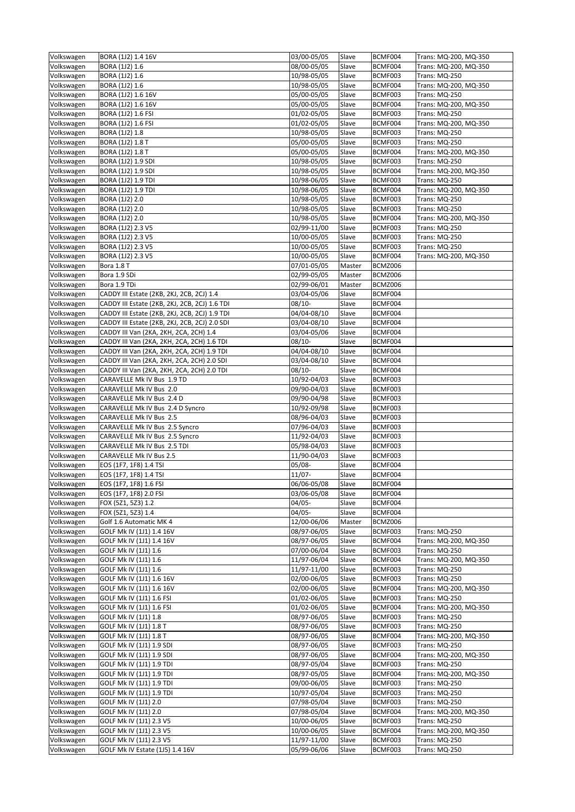| Volkswagen               | BORA (1J2) 1.4 16V                                         | 03/00-05/05                | Slave          | BCMF004            | Trans: MQ-200, MQ-350          |
|--------------------------|------------------------------------------------------------|----------------------------|----------------|--------------------|--------------------------------|
| Volkswagen               | BORA (1J2) 1.6                                             | 08/00-05/05                | Slave          | BCMF004            | Trans: MQ-200, MQ-350          |
| Volkswagen               | BORA (1J2) 1.6                                             | 10/98-05/05                | Slave          | BCMF003            | <b>Trans: MQ-250</b>           |
| Volkswagen               | BORA (1J2) 1.6                                             | 10/98-05/05                | Slave          | BCMF004            | Trans: MQ-200, MQ-350          |
| Volkswagen               | BORA (1J2) 1.6 16V                                         | 05/00-05/05                | Slave          | BCMF003            | Trans: MQ-250                  |
| Volkswagen               | BORA (1J2) 1.6 16V                                         | 05/00-05/05                | Slave          | BCMF004            | Trans: MQ-200, MQ-350          |
| Volkswagen               | BORA (1J2) 1.6 FSI                                         | $\overline{01}/02 - 05/05$ | Slave          | BCMF003            | Trans: MQ-250                  |
| Volkswagen               | BORA (1J2) 1.6 FSI                                         | 01/02-05/05                | Slave          | BCMF004            | Trans: MQ-200, MQ-350          |
| Volkswagen               | BORA (1J2) 1.8                                             | 10/98-05/05                | Slave          | BCMF003            | Trans: MQ-250                  |
| Volkswagen               | BORA (1J2) 1.8 T                                           | 05/00-05/05                | Slave          | BCMF003            | Trans: MQ-250                  |
| Volkswagen               | BORA (1J2) 1.8 T                                           | 05/00-05/05                | Slave          | BCMF004            | Trans: MQ-200, MQ-350          |
| Volkswagen               | BORA (1J2) 1.9 SDI                                         | 10/98-05/05                | Slave          | BCMF003            | Trans: MQ-250                  |
| Volkswagen               | BORA (1J2) 1.9 SDI                                         | 10/98-05/05                | Slave          | BCMF004            | Trans: MQ-200, MQ-350          |
| Volkswagen               | <b>BORA (1J2) 1.9 TDI</b>                                  | 10/98-06/05                | Slave          | BCMF003            | Trans: MQ-250                  |
| Volkswagen               | BORA (1J2) 1.9 TDI                                         | 10/98-06/05                | Slave          | BCMF004            | Trans: MQ-200, MQ-350          |
| Volkswagen               | BORA (1J2) 2.0                                             | 10/98-05/05                | Slave          | BCMF003            | Trans: MQ-250                  |
| Volkswagen               | BORA (1J2) 2.0                                             | 10/98-05/05                | Slave          | BCMF003            | Trans: MQ-250                  |
| Volkswagen               | BORA (1J2) 2.0                                             | 10/98-05/05                | Slave          | BCMF004            | Trans: MQ-200, MQ-350          |
| Volkswagen               | BORA (1J2) 2.3 V5                                          | 02/99-11/00                | Slave          | BCMF003            | Trans: MQ-250                  |
| Volkswagen               | BORA (1J2) 2.3 V5                                          | 10/00-05/05                | Slave          | BCMF003            | Trans: MQ-250                  |
| Volkswagen               | BORA (1J2) 2.3 V5                                          | 10/00-05/05                | Slave          | BCMF003            | Trans: MQ-250                  |
|                          |                                                            |                            |                |                    | Trans: MQ-200, MQ-350          |
| Volkswagen<br>Volkswagen | BORA (1J2) 2.3 V5                                          | 10/00-05/05<br>07/01-05/05 | Slave          | BCMF004            |                                |
|                          | Bora 1.8 T                                                 |                            | Master         | BCMZ006            |                                |
| Volkswagen               | Bora 1.9 SDi                                               | 02/99-05/05                | Master         | BCMZ006            |                                |
| Volkswagen               | Bora 1.9 TDi                                               | 02/99-06/01                | Master         | BCMZ006            |                                |
| Volkswagen               | CADDY III Estate (2KB, 2KJ, 2CB, 2CJ) 1.4                  | 03/04-05/06                | Slave          | BCMF004            |                                |
| Volkswagen               | CADDY III Estate (2KB, 2KJ, 2CB, 2CJ) 1.6 TDI              | 08/10-                     | Slave          | BCMF004            |                                |
| Volkswagen               | CADDY III Estate (2KB, 2KJ, 2CB, 2CJ) 1.9 TDI              | 04/04-08/10                | Slave          | BCMF004            |                                |
| Volkswagen               | CADDY III Estate (2KB, 2KJ, 2CB, 2CJ) 2.0 SDI              | 03/04-08/10                | Slave          | BCMF004            |                                |
| Volkswagen               | CADDY III Van (2KA, 2KH, 2CA, 2CH) 1.4                     | 03/04-05/06                | Slave          | BCMF004            |                                |
| Volkswagen               | CADDY III Van (2KA, 2KH, 2CA, 2CH) 1.6 TDI                 | 08/10-                     | Slave          | BCMF004            |                                |
| Volkswagen               | CADDY III Van (2KA, 2KH, 2CA, 2CH) 1.9 TDI                 | $\overline{04}/04 - 08/10$ | Slave          | BCMF004            |                                |
| Volkswagen               | CADDY III Van (2KA, 2KH, 2CA, 2CH) 2.0 SDI                 | 03/04-08/10                | Slave          | BCMF004            |                                |
| Volkswagen               | CADDY III Van (2KA, 2KH, 2CA, 2CH) 2.0 TDI                 | $08/10-$                   | Slave          | BCMF004            |                                |
| Volkswagen               | CARAVELLE Mk IV Bus 1.9 TD                                 | 10/92-04/03                | Slave          | BCMF003            |                                |
| Volkswagen               | CARAVELLE Mk IV Bus 2.0                                    | 09/90-04/03                | Slave          | BCMF003            |                                |
|                          |                                                            |                            |                |                    |                                |
| Volkswagen               | CARAVELLE Mk IV Bus 2.4 D                                  | 09/90-04/98                | Slave          | BCMF003            |                                |
| Volkswagen               | CARAVELLE Mk IV Bus 2.4 D Syncro                           | 10/92-09/98                | Slave          | BCMF003            |                                |
| Volkswagen               | CARAVELLE Mk IV Bus 2.5                                    | 08/96-04/03                | Slave          | BCMF003            |                                |
| Volkswagen               | CARAVELLE Mk IV Bus 2.5 Syncro                             | 07/96-04/03                | Slave          | BCMF003            |                                |
|                          | CARAVELLE Mk IV Bus 2.5 Syncro                             | 11/92-04/03                | Slave          | BCMF003            |                                |
| Volkswagen<br>Volkswagen | CARAVELLE Mk IV Bus 2.5 TDI                                | 05/98-04/03                | Slave          | BCMF003            |                                |
|                          | CARAVELLE Mk IV Bus 2.5                                    | 11/90-04/03                | Slave          | BCMF003            |                                |
| Volkswagen<br>Volkswagen |                                                            | 05/08-                     | Slave          | BCMF004            |                                |
|                          | EOS (1F7, 1F8) 1.4 TSI                                     | $11/07 -$                  |                | BCMF004            |                                |
| Volkswagen               | EOS (1F7, 1F8) 1.4 TSI                                     |                            | Slave          |                    |                                |
| Volkswagen               | EOS (1F7, 1F8) 1.6 FSI                                     | 06/06-05/08                | Slave          | BCMF004            |                                |
| Volkswagen               | EOS (1F7, 1F8) 2.0 FSI                                     | 03/06-05/08                | Slave          | BCMF004            |                                |
| Volkswagen               | FOX (5Z1, 5Z3) 1.2                                         | 04/05-                     | Slave          | BCMF004            |                                |
| Volkswagen               | FOX (5Z1, 5Z3) 1.4                                         | $04/05 -$                  | Slave          | BCMF004            |                                |
| Volkswagen               | Golf 1.6 Automatic MK 4                                    | 12/00-06/06                | Master         | BCMZ006            |                                |
| Volkswagen               | GOLF Mk IV (1J1) 1.4 16V                                   | 08/97-06/05                | Slave          | BCMF003            | Trans: MQ-250                  |
| Volkswagen               | GOLF Mk IV (1J1) 1.4 16V                                   | 08/97-06/05                | Slave          | BCMF004            | Trans: MQ-200, MQ-350          |
| Volkswagen               | GOLF Mk IV (1J1) 1.6                                       | 07/00-06/04                | Slave          | BCMF003            | <b>Trans: MQ-250</b>           |
| Volkswagen               | GOLF Mk IV (1J1) 1.6                                       | 11/97-06/04                | Slave          | BCMF004            | Trans: MQ-200, MQ-350          |
| Volkswagen               | GOLF Mk IV (1J1) 1.6                                       | $11/97 - 11/00$            | Slave          | BCMF003            | <b>Trans: MQ-250</b>           |
| Volkswagen               | GOLF Mk IV (1J1) 1.6 16V                                   | 02/00-06/05                | Slave          | BCMF003            | Trans: MQ-250                  |
| Volkswagen               | GOLF Mk IV (1J1) 1.6 16V                                   | 02/00-06/05                | Slave          | BCMF004            | Trans: MQ-200, MQ-350          |
| Volkswagen               | GOLF Mk IV (1J1) 1.6 FSI                                   | 01/02-06/05                | Slave          | BCMF003            | Trans: MQ-250                  |
| Volkswagen               | GOLF Mk IV (1J1) 1.6 FSI                                   | 01/02-06/05                | Slave          | BCMF004            | Trans: MQ-200, MQ-350          |
| Volkswagen               | GOLF Mk IV (1J1) 1.8                                       | 08/97-06/05                | Slave          | BCMF003            | Trans: MQ-250                  |
| Volkswagen               | GOLF Mk IV (1J1) 1.8 T                                     | 08/97-06/05                | Slave          | BCMF003            | Trans: MQ-250                  |
| Volkswagen               | GOLF Mk IV (1J1) 1.8 T                                     | 08/97-06/05                | Slave          | BCMF004            | Trans: MQ-200, MQ-350          |
| Volkswagen               | GOLF Mk IV (1J1) 1.9 SDI                                   | 08/97-06/05                | Slave          | BCMF003            | Trans: MQ-250                  |
| Volkswagen               | GOLF Mk IV (1J1) 1.9 SDI                                   | 08/97-06/05                | Slave          | BCMF004            | Trans: MQ-200, MQ-350          |
| Volkswagen               | GOLF Mk IV (1J1) 1.9 TDI                                   | 08/97-05/04                | Slave          | BCMF003            | Trans: MQ-250                  |
| Volkswagen               | GOLF Mk IV (1J1) 1.9 TDI                                   | 08/97-05/05                | Slave          | BCMF004            | Trans: MQ-200, MQ-350          |
| Volkswagen               | GOLF Mk IV (1J1) 1.9 TDI                                   | 09/00-06/05                | Slave          | BCMF003            | Trans: MQ-250                  |
| Volkswagen               | GOLF Mk IV (1J1) 1.9 TDI                                   | 10/97-05/04                | Slave          | BCMF003            | Trans: MQ-250                  |
| Volkswagen               | GOLF Mk IV (1J1) 2.0                                       | 07/98-05/04                | Slave          | BCMF003            | Trans: MQ-250                  |
| Volkswagen               | GOLF Mk IV (1J1) 2.0                                       | 07/98-05/04                | Slave          | BCMF004            | Trans: MQ-200, MQ-350          |
| Volkswagen               | GOLF Mk IV (1J1) 2.3 V5                                    | 10/00-06/05                | Slave          | BCMF003            | Trans: MQ-250                  |
| Volkswagen               | GOLF Mk IV (1J1) 2.3 V5                                    | 10/00-06/05                | Slave          | BCMF004            | Trans: MQ-200, MQ-350          |
| Volkswagen<br>Volkswagen | GOLF Mk IV (1J1) 2.3 V5<br>GOLF Mk IV Estate (1J5) 1.4 16V | 11/97-11/00<br>05/99-06/06 | Slave<br>Slave | BCMF003<br>BCMF003 | Trans: MQ-250<br>Trans: MQ-250 |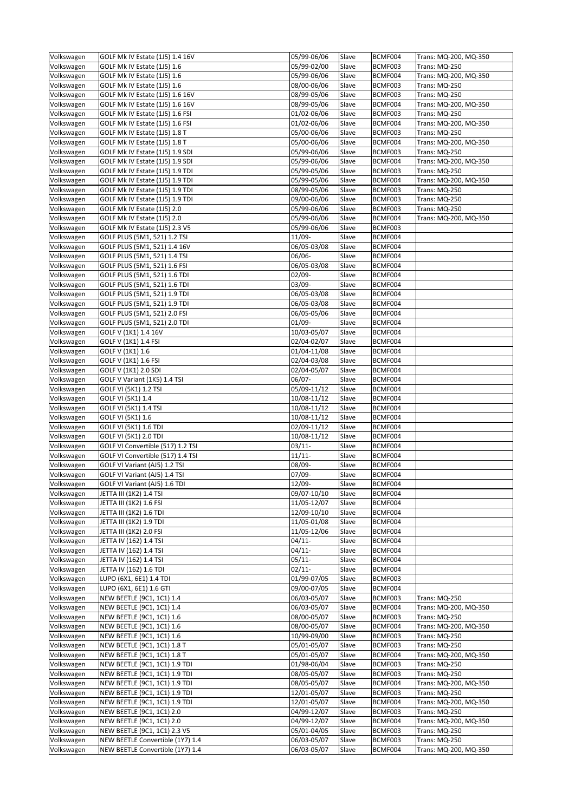| Volkswagen               | GOLF Mk IV Estate (1J5) 1.4 16V                                      | 05/99-06/06                | Slave          | BCMF004            | Trans: MQ-200, MQ-350                         |
|--------------------------|----------------------------------------------------------------------|----------------------------|----------------|--------------------|-----------------------------------------------|
| Volkswagen               | GOLF Mk IV Estate (1J5) 1.6                                          | 05/99-02/00                | Slave          | BCMF003            | Trans: MQ-250                                 |
| Volkswagen               | GOLF Mk IV Estate (1J5) 1.6                                          | 05/99-06/06                | Slave          | BCMF004            | Trans: MQ-200, MQ-350                         |
| Volkswagen               | GOLF Mk IV Estate (1J5) 1.6                                          | 08/00-06/06                | Slave          | BCMF003            | Trans: MQ-250                                 |
| Volkswagen               | GOLF Mk IV Estate (1J5) 1.6 16V                                      | 08/99-05/06                | Slave          | BCMF003            | Trans: MQ-250                                 |
| Volkswagen               | GOLF Mk IV Estate (1J5) 1.6 16V                                      | 08/99-05/06                | Slave          | BCMF004            | Trans: MQ-200, MQ-350                         |
| Volkswagen               | GOLF Mk IV Estate (1J5) 1.6 FSI                                      | 01/02-06/06                | Slave          | BCMF003            | Trans: MQ-250                                 |
| Volkswagen               | GOLF Mk IV Estate (1J5) 1.6 FSI                                      | 01/02-06/06                | Slave          | BCMF004            | Trans: MQ-200, MQ-350                         |
| Volkswagen               | GOLF Mk IV Estate (1J5) 1.8 T                                        | 05/00-06/06                | Slave          | BCMF003            | Trans: MQ-250                                 |
| Volkswagen               | GOLF Mk IV Estate (1J5) 1.8 T                                        | 05/00-06/06                | Slave          | BCMF004            | Trans: MQ-200, MQ-350                         |
| Volkswagen               | GOLF Mk IV Estate (1J5) 1.9 SDI                                      | 05/99-06/06                | Slave          | BCMF003            | Trans: MQ-250                                 |
| Volkswagen               | GOLF Mk IV Estate (1J5) 1.9 SDI                                      | 05/99-06/06                | Slave          | BCMF004            | Trans: MQ-200, MQ-350                         |
| Volkswagen               | GOLF Mk IV Estate (1J5) 1.9 TDI                                      | 05/99-05/06                | Slave          | BCMF003            | Trans: MQ-250                                 |
| Volkswagen               | GOLF Mk IV Estate (1J5) 1.9 TDI                                      | 05/99-05/06                | Slave          | BCMF004            | Trans: MQ-200, MQ-350                         |
| Volkswagen               | GOLF Mk IV Estate (1J5) 1.9 TDI                                      | 08/99-05/06                | Slave          | BCMF003            | Trans: MQ-250                                 |
| Volkswagen               | GOLF Mk IV Estate (1J5) 1.9 TDI                                      | 09/00-06/06                | Slave          | BCMF003            | Trans: MQ-250                                 |
| Volkswagen               | GOLF Mk IV Estate (1J5) 2.0                                          | 05/99-06/06                | Slave          | BCMF003            | Trans: MQ-250                                 |
| Volkswagen               | GOLF Mk IV Estate (1J5) 2.0                                          | 05/99-06/06                | Slave          | BCMF004            | Trans: MQ-200, MQ-350                         |
| Volkswagen               | GOLF Mk IV Estate (1J5) 2.3 V5                                       | 05/99-06/06                | Slave          | BCMF003            |                                               |
| Volkswagen               | GOLF PLUS (5M1, 521) 1.2 TSI                                         | 11/09-                     | Slave          | BCMF004            |                                               |
| Volkswagen               | GOLF PLUS (5M1, 521) 1.4 16V                                         | 06/05-03/08                | Slave          | BCMF004            |                                               |
|                          |                                                                      |                            |                |                    |                                               |
| Volkswagen<br>Volkswagen | GOLF PLUS (5M1, 521) 1.4 TSI<br>GOLF PLUS (5M1, 521) 1.6 FSI         | 06/06-                     | Slave          | BCMF004            |                                               |
|                          |                                                                      | 06/05-03/08                | Slave          | BCMF004            |                                               |
| Volkswagen               | GOLF PLUS (5M1, 521) 1.6 TDI                                         | 02/09-                     | Slave          | BCMF004            |                                               |
| Volkswagen               | GOLF PLUS (5M1, 521) 1.6 TDI                                         | $03/09 -$                  | Slave          | BCMF004            |                                               |
| Volkswagen               | GOLF PLUS (5M1, 521) 1.9 TDI                                         | 06/05-03/08                | Slave          | BCMF004            |                                               |
| Volkswagen               | GOLF PLUS (5M1, 521) 1.9 TDI                                         | 06/05-03/08                | Slave          | BCMF004            |                                               |
| Volkswagen               | GOLF PLUS (5M1, 521) 2.0 FSI                                         | 06/05-05/06                | Slave          | BCMF004            |                                               |
| Volkswagen               | GOLF PLUS (5M1, 521) 2.0 TDI                                         | $01/09 -$                  | Slave          | BCMF004            |                                               |
| Volkswagen               | GOLF V (1K1) 1.4 16V                                                 | 10/03-05/07                | Slave          | BCMF004            |                                               |
| Volkswagen               | GOLF V (1K1) 1.4 FSI                                                 | 02/04-02/07                | Slave          | BCMF004            |                                               |
| Volkswagen               | GOLF V (1K1) 1.6                                                     | 01/04-11/08                | Slave          | BCMF004            |                                               |
| Volkswagen               | GOLF V (1K1) 1.6 FSI                                                 | 02/04-03/08                | Slave          | BCMF004            |                                               |
| Volkswagen               | GOLF V (1K1) 2.0 SDI                                                 | 02/04-05/07                | Slave          | BCMF004            |                                               |
| Volkswagen               | GOLF V Variant (1K5) 1.4 TSI                                         | $06/07 -$                  | Slave          | BCMF004            |                                               |
| Volkswagen               | GOLF VI (5K1) 1.2 TSI                                                | 05/09-11/12                | Slave          | BCMF004            |                                               |
| Volkswagen               | GOLF VI (5K1) 1.4                                                    | 10/08-11/12                | Slave          | BCMF004            |                                               |
| Volkswagen               | GOLF VI (5K1) 1.4 TSI                                                | 10/08-11/12                | Slave          | BCMF004            |                                               |
| Volkswagen               | GOLF VI (5K1) 1.6                                                    | 10/08-11/12                | Slave          | BCMF004            |                                               |
| Volkswagen               | GOLF VI (5K1) 1.6 TDI                                                | 02/09-11/12                | Slave          | BCMF004            |                                               |
| Volkswagen               | GOLF VI (5K1) 2.0 TDI                                                | 10/08-11/12                | Slave          | BCMF004            |                                               |
|                          |                                                                      |                            |                |                    |                                               |
| Volkswagen               | GOLF VI Convertible (517) 1.2 TSI                                    | $03/11 -$                  | Slave          | BCMF004            |                                               |
| Volkswagen               | GOLF VI Convertible (517) 1.4 TSI                                    | $11/11-$                   | Slave          | BCMF004            |                                               |
| Volkswagen               | GOLF VI Variant (AJ5) 1.2 TSI                                        | 08/09-                     | Slave          | BCMF004            |                                               |
| Volkswagen               | GOLF VI Variant (AJ5) 1.4 TSI                                        | $07/09 -$                  | Slave          | BCMF004            |                                               |
|                          | GOLF VI Variant (AJ5) 1.6 TDI                                        | 12/09-                     | Slave          | BCMF004            |                                               |
| Volkswagen<br>Volkswagen | JETTA III (1K2) 1.4 TSI                                              | 09/07-10/10                | Slave          | BCMF004            |                                               |
| Volkswagen               | JETTA III (1K2) 1.6 FSI                                              | 11/05-12/07                | Slave          | BCMF004            |                                               |
| Volkswagen               | JETTA III (1K2) 1.6 TDI                                              | 12/09-10/10                | Slave          | BCMF004            |                                               |
| Volkswagen               | JETTA III (1K2) 1.9 TDI                                              | 11/05-01/08                | Slave          | BCMF004            |                                               |
| Volkswagen               |                                                                      | 11/05-12/06                | Slave          | BCMF004            |                                               |
| Volkswagen               | JETTA III (1K2) 2.0 FSI<br>JETTA IV (162) 1.4 TSI                    | $04/11$ -                  | Slave          | BCMF004            |                                               |
| Volkswagen               | JETTA IV (162) 1.4 TSI                                               | $04/11$ -                  | Slave          | BCMF004            |                                               |
| Volkswagen               | JETTA IV (162) 1.4 TSI                                               | $05/11-$                   | Slave          | BCMF004            |                                               |
| Volkswagen               | JETTA IV (162) 1.6 TDI                                               | $02/11$ -                  | Slave          | BCMF004            |                                               |
|                          |                                                                      | 01/99-07/05                |                | BCMF003            |                                               |
| Volkswagen<br>Volkswagen | LUPO (6X1, 6E1) 1.4 TDI<br>LUPO (6X1, 6E1) 1.6 GTI                   | 09/00-07/05                | Slave<br>Slave | BCMF004            |                                               |
|                          |                                                                      |                            |                |                    |                                               |
| Volkswagen               | <b>NEW BEETLE (9C1, 1C1) 1.4</b>                                     | 06/03-05/07<br>06/03-05/07 | Slave          | BCMF003<br>BCMF004 | Trans: MQ-250<br>Trans: MQ-200, MQ-350        |
| Volkswagen               | NEW BEETLE (9C1, 1C1) 1.4                                            |                            | Slave          |                    |                                               |
| Volkswagen               | <b>NEW BEETLE (9C1, 1C1) 1.6</b>                                     | 08/00-05/07                | Slave          | BCMF003            | Trans: MQ-250                                 |
| Volkswagen               | NEW BEETLE (9C1, 1C1) 1.6                                            | 08/00-05/07                | Slave          | BCMF004            | Trans: MQ-200, MQ-350                         |
| Volkswagen               | <b>NEW BEETLE (9C1, 1C1) 1.6</b>                                     | 10/99-09/00                | Slave          | BCMF003            | Trans: MQ-250                                 |
| Volkswagen               | NEW BEETLE (9C1, 1C1) 1.8 T                                          | 05/01-05/07                | Slave          | BCMF003            | Trans: MQ-250                                 |
| Volkswagen               | NEW BEETLE (9C1, 1C1) 1.8 T                                          | 05/01-05/07                | Slave          | BCMF004            | Trans: MQ-200, MQ-350                         |
| Volkswagen               | NEW BEETLE (9C1, 1C1) 1.9 TDI                                        | 01/98-06/04                | Slave          | BCMF003            | Trans: MQ-250                                 |
| Volkswagen               | NEW BEETLE (9C1, 1C1) 1.9 TDI                                        | 08/05-05/07                | Slave          | BCMF003            | Trans: MQ-250                                 |
| Volkswagen               | NEW BEETLE (9C1, 1C1) 1.9 TDI                                        | 08/05-05/07                | Slave          | BCMF004            | Trans: MQ-200, MQ-350                         |
| Volkswagen               | NEW BEETLE (9C1, 1C1) 1.9 TDI                                        | 12/01-05/07                | Slave          | BCMF003            | Trans: MQ-250                                 |
| Volkswagen               | NEW BEETLE (9C1, 1C1) 1.9 TDI                                        | 12/01-05/07                | Slave          | BCMF004            | Trans: MQ-200, MQ-350                         |
| Volkswagen               | NEW BEETLE (9C1, 1C1) 2.0                                            | 04/99-12/07                | Slave          | BCMF003            | <b>Trans: MQ-250</b>                          |
| Volkswagen               | NEW BEETLE (9C1, 1C1) 2.0                                            | 04/99-12/07                | Slave          | BCMF004            | Trans: MQ-200, MQ-350                         |
| Volkswagen               | NEW BEETLE (9C1, 1C1) 2.3 V5                                         | 05/01-04/05                | Slave          | BCMF003            | Trans: MQ-250                                 |
| Volkswagen<br>Volkswagen | NEW BEETLE Convertible (1Y7) 1.4<br>NEW BEETLE Convertible (1Y7) 1.4 | 06/03-05/07<br>06/03-05/07 | Slave<br>Slave | BCMF003<br>BCMF004 | <b>Trans: MQ-250</b><br>Trans: MQ-200, MQ-350 |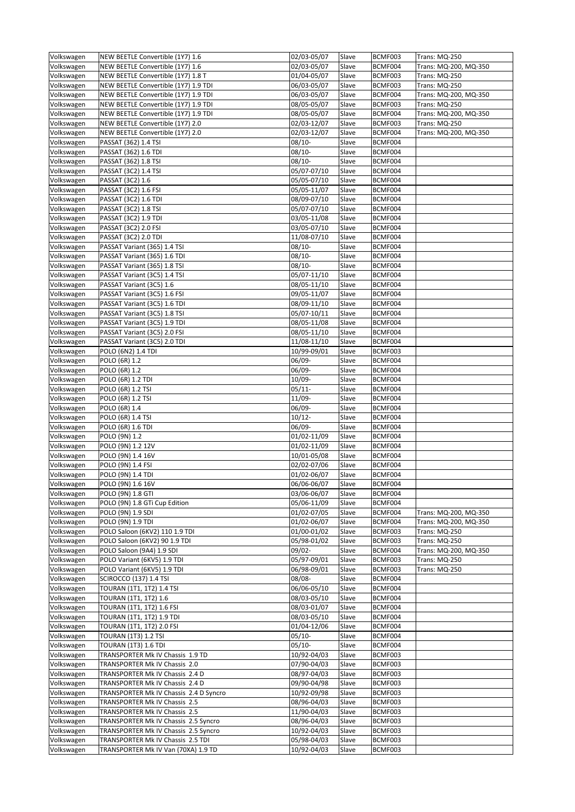| Volkswagen               | NEW BEETLE Convertible (1Y7) 1.6                                | 02/03-05/07                | Slave          | BCMF003            | Trans: MQ-250         |
|--------------------------|-----------------------------------------------------------------|----------------------------|----------------|--------------------|-----------------------|
| Volkswagen               | NEW BEETLE Convertible (1Y7) 1.6                                | 02/03-05/07                | Slave          | BCMF004            | Trans: MQ-200, MQ-350 |
| Volkswagen               | NEW BEETLE Convertible (1Y7) 1.8 T                              | 01/04-05/07                | Slave          | BCMF003            | Trans: MQ-250         |
| Volkswagen               | NEW BEETLE Convertible (1Y7) 1.9 TDI                            | 06/03-05/07                | Slave          | BCMF003            | Trans: MQ-250         |
| Volkswagen               | NEW BEETLE Convertible (1Y7) 1.9 TDI                            | 06/03-05/07                | Slave          | BCMF004            | Trans: MQ-200, MQ-350 |
| Volkswagen               | NEW BEETLE Convertible (1Y7) 1.9 TDI                            | 08/05-05/07                | Slave          | BCMF003            | Trans: MQ-250         |
| Volkswagen               | NEW BEETLE Convertible (1Y7) 1.9 TDI                            | 08/05-05/07                | Slave          | BCMF004            | Trans: MQ-200, MQ-350 |
| Volkswagen               | NEW BEETLE Convertible (1Y7) 2.0                                | 02/03-12/07                | Slave          | BCMF003            | Trans: MQ-250         |
| Volkswagen               | NEW BEETLE Convertible (1Y7) 2.0                                | 02/03-12/07                | Slave          | BCMF004            | Trans: MQ-200, MQ-350 |
| Volkswagen<br>Volkswagen | PASSAT (362) 1.4 TSI<br>PASSAT (362) 1.6 TDI                    | $08/10 -$                  | Slave<br>Slave | BCMF004<br>BCMF004 |                       |
| Volkswagen               | PASSAT (362) 1.8 TSI                                            | 08/10-<br>$08/10 -$        | Slave          | BCMF004            |                       |
| Volkswagen               | PASSAT (3C2) 1.4 TSI                                            | 05/07-07/10                | Slave          | BCMF004            |                       |
| Volkswagen               | PASSAT (3C2) 1.6                                                | 05/05-07/10                | Slave          | BCMF004            |                       |
| Volkswagen               | PASSAT (3C2) 1.6 FSI                                            | 05/05-11/07                | Slave          | BCMF004            |                       |
| Volkswagen               | PASSAT (3C2) 1.6 TDI                                            | 08/09-07/10                | Slave          | BCMF004            |                       |
| Volkswagen               | PASSAT (3C2) 1.8 TSI                                            | 05/07-07/10                | Slave          | BCMF004            |                       |
| Volkswagen               | PASSAT (3C2) 1.9 TDI                                            | 03/05-11/08                | Slave          | BCMF004            |                       |
| Volkswagen               | PASSAT (3C2) 2.0 FSI                                            | 03/05-07/10                | Slave          | BCMF004            |                       |
| Volkswagen               | PASSAT (3C2) 2.0 TDI                                            | 11/08-07/10                | Slave          | BCMF004            |                       |
| Volkswagen               | PASSAT Variant (365) 1.4 TSI                                    | 08/10-                     | Slave          | BCMF004            |                       |
| Volkswagen               | PASSAT Variant (365) 1.6 TDI                                    | 08/10-                     | Slave          | BCMF004            |                       |
| Volkswagen               | PASSAT Variant (365) 1.8 TSI                                    | 08/10-                     | Slave          | BCMF004            |                       |
| Volkswagen               | PASSAT Variant (3C5) 1.4 TSI                                    | 05/07-11/10                | Slave          | BCMF004            |                       |
| Volkswagen               | PASSAT Variant (3C5) 1.6                                        | 08/05-11/10                | Slave          | BCMF004            |                       |
| Volkswagen               | PASSAT Variant (3C5) 1.6 FSI                                    | 09/05-11/07                | Slave          | BCMF004            |                       |
| Volkswagen               | PASSAT Variant (3C5) 1.6 TDI                                    | 08/09-11/10                | Slave          | BCMF004            |                       |
| Volkswagen               | PASSAT Variant (3C5) 1.8 TSI                                    | 05/07-10/11<br>08/05-11/08 | Slave<br>Slave | BCMF004<br>BCMF004 |                       |
| Volkswagen<br>Volkswagen | PASSAT Variant (3C5) 1.9 TDI<br>PASSAT Variant (3C5) 2.0 FSI    | 08/05-11/10                | Slave          | BCMF004            |                       |
| Volkswagen               | PASSAT Variant (3C5) 2.0 TDI                                    | 11/08-11/10                | Slave          | BCMF004            |                       |
| Volkswagen               | POLO (6N2) 1.4 TDI                                              | $10/99 - 09/01$            | Slave          | BCMF003            |                       |
| Volkswagen               | POLO (6R) 1.2                                                   | 06/09-                     | Slave          | BCMF004            |                       |
| Volkswagen               | POLO (6R) 1.2                                                   | 06/09-                     | Slave          | BCMF004            |                       |
| Volkswagen               | POLO (6R) 1.2 TDI                                               | 10/09-                     | Slave          | BCMF004            |                       |
| Volkswagen               | POLO (6R) 1.2 TSI                                               | $05/11 -$                  | Slave          | BCMF004            |                       |
| Volkswagen               | POLO (6R) 1.2 TSI                                               | 11/09-                     | Slave          | BCMF004            |                       |
| Volkswagen               | POLO (6R) 1.4                                                   | 06/09-                     | Slave          | BCMF004            |                       |
| Volkswagen               | POLO (6R) 1.4 TSI                                               | $10/12 -$                  | Slave          | BCMF004            |                       |
| Volkswagen               | POLO (6R) 1.6 TDI                                               | 06/09-                     | Slave          | BCMF004            |                       |
| Volkswagen               | POLO (9N) 1.2                                                   | 01/02-11/09                | Slave          | BCMF004            |                       |
| Volkswagen               | POLO (9N) 1.2 12V                                               | 01/02-11/09                | Slave          | BCMF004            |                       |
| Volkswagen               | POLO (9N) 1.4 16V                                               | 10/01-05/08                | Slave          | BCMF004            |                       |
| Volkswagen               | POLO (9N) 1.4 FSI                                               | 02/02-07/06                | Slave          | BCMF004            |                       |
| Volkswagen               | POLO (9N) 1.4 TDI                                               | 01/02-06/07                | Slave          | BCMF004            |                       |
| Volkswagen<br>Volkswagen | POLO (9N) 1.6 16V<br>POLO (9N) 1.8 GTI                          | 06/06-06/07<br>03/06-06/07 | Slave<br>Slave | BCMF004<br>BCMF004 |                       |
| Volkswagen               | POLO (9N) 1.8 GTi Cup Edition                                   | 05/06-11/09                | Slave          | BCMF004            |                       |
| Volkswagen               | POLO (9N) 1.9 SDI                                               | 01/02-07/05                | Slave          | BCMF004            | Trans: MQ-200, MQ-350 |
| Volkswagen               | POLO (9N) 1.9 TDI                                               | 01/02-06/07                | Slave          | BCMF004            | Trans: MQ-200, MQ-350 |
| Volkswagen               | POLO Saloon (6KV2) 110 1.9 TDI                                  | 01/00-01/02                | Slave          | BCMF003            | <b>Trans: MQ-250</b>  |
| Volkswagen               | POLO Saloon (6KV2) 90 1.9 TDI                                   | 05/98-01/02                | Slave          | BCMF003            | <b>Trans: MQ-250</b>  |
| Volkswagen               | POLO Saloon (9A4) 1.9 SDI                                       | 09/02-                     | Slave          | BCMF004            | Trans: MQ-200, MQ-350 |
| Volkswagen               | POLO Variant (6KV5) 1.9 TDI                                     | 05/97-09/01                | Slave          | BCMF003            | Trans: MQ-250         |
| Volkswagen               | POLO Variant (6KV5) 1.9 TDI                                     | 06/98-09/01                | Slave          | BCMF003            | <b>Trans: MQ-250</b>  |
| Volkswagen               | <b>SCIROCCO (137) 1.4 TSI</b>                                   | 08/08-                     | Slave          | BCMF004            |                       |
| Volkswagen               | TOURAN (1T1, 1T2) 1.4 TSI                                       | 06/06-05/10                | Slave          | BCMF004            |                       |
| Volkswagen               | TOURAN (1T1, 1T2) 1.6                                           | 08/03-05/10                | Slave          | BCMF004            |                       |
| Volkswagen               | TOURAN (1T1, 1T2) 1.6 FSI                                       | 08/03-01/07                | Slave          | BCMF004            |                       |
| Volkswagen               | TOURAN (1T1, 1T2) 1.9 TDI                                       | 08/03-05/10                | Slave          | BCMF004            |                       |
| Volkswagen               | TOURAN (1T1, 1T2) 2.0 FSI                                       | 01/04-12/06                | Slave          | BCMF004            |                       |
| Volkswagen               | <b>TOURAN (1T3) 1.2 TSI</b>                                     | 05/10-                     | Slave          | BCMF004            |                       |
| Volkswagen               | <b>TOURAN (1T3) 1.6 TDI</b><br>TRANSPORTER Mk IV Chassis 1.9 TD | $05/10-$<br>10/92-04/03    | Slave          | BCMF004<br>BCMF003 |                       |
| Volkswagen<br>Volkswagen | TRANSPORTER Mk IV Chassis 2.0                                   | 07/90-04/03                | Slave<br>Slave | BCMF003            |                       |
| Volkswagen               | TRANSPORTER Mk IV Chassis 2.4 D                                 | 08/97-04/03                | Slave          | BCMF003            |                       |
| Volkswagen               | TRANSPORTER Mk IV Chassis 2.4 D                                 | 09/90-04/98                | Slave          | BCMF003            |                       |
| Volkswagen               | TRANSPORTER Mk IV Chassis 2.4 D Syncro                          | 10/92-09/98                | Slave          | BCMF003            |                       |
| Volkswagen               | TRANSPORTER Mk IV Chassis 2.5                                   | 08/96-04/03                | Slave          | BCMF003            |                       |
| Volkswagen               | TRANSPORTER Mk IV Chassis 2.5                                   | 11/90-04/03                | Slave          | BCMF003            |                       |
| Volkswagen               | TRANSPORTER Mk IV Chassis 2.5 Syncro                            | 08/96-04/03                | Slave          | BCMF003            |                       |
| Volkswagen               | TRANSPORTER Mk IV Chassis 2.5 Syncro                            | 10/92-04/03                | Slave          | BCMF003            |                       |
| Volkswagen               | TRANSPORTER Mk IV Chassis 2.5 TDI                               | 05/98-04/03                | Slave          | BCMF003            |                       |
| Volkswagen               | TRANSPORTER Mk IV Van (70XA) 1.9 TD                             | 10/92-04/03                | Slave          | BCMF003            |                       |